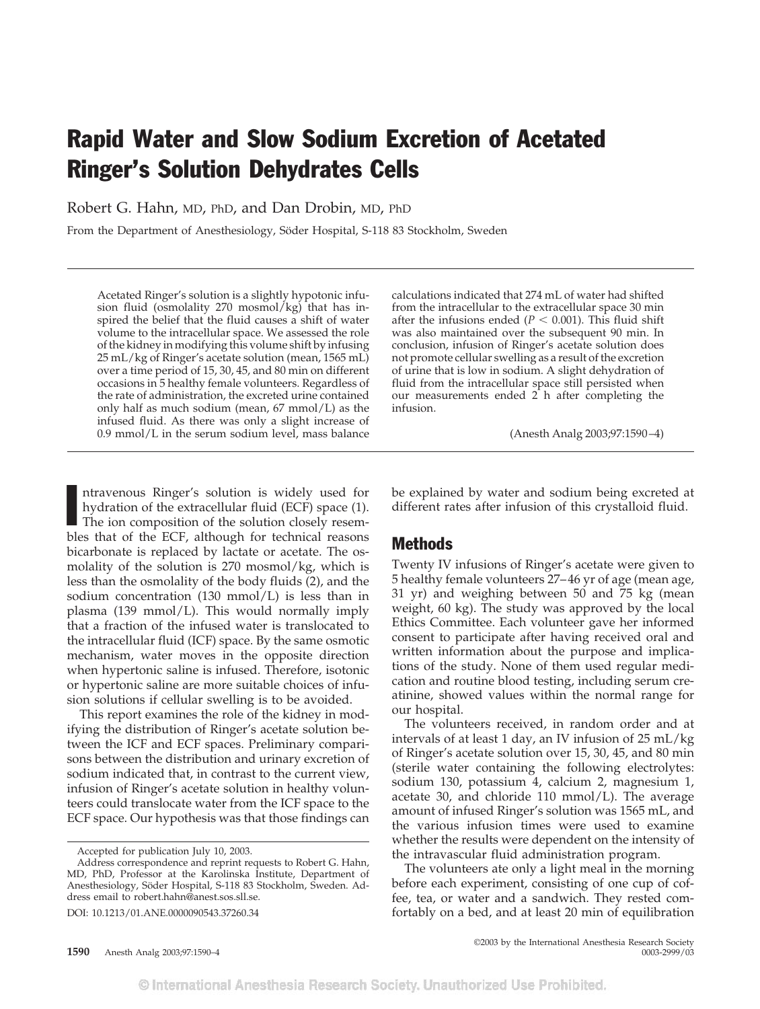# Rapid Water and Slow Sodium Excretion of Acetated Ringer's Solution Dehydrates Cells

Robert G. Hahn, MD, PhD, and Dan Drobin, MD, PhD

From the Department of Anesthesiology, Söder Hospital, S-118 83 Stockholm, Sweden

Acetated Ringer's solution is a slightly hypotonic infusion fluid (osmolality 270 mosmol/kg) that has inspired the belief that the fluid causes a shift of water volume to the intracellular space. We assessed the role of the kidney in modifying this volume shift by infusing 25 mL/kg of Ringer's acetate solution (mean, 1565 mL) over a time period of 15, 30, 45, and 80 min on different occasions in 5 healthy female volunteers. Regardless of the rate of administration, the excreted urine contained only half as much sodium (mean, 67 mmol/L) as the infused fluid. As there was only a slight increase of 0.9 mmol/L in the serum sodium level, mass balance

calculations indicated that 274 mL of water had shifted from the intracellular to the extracellular space 30 min after the infusions ended ( $P < 0.001$ ). This fluid shift was also maintained over the subsequent 90 min. In conclusion, infusion of Ringer's acetate solution does not promote cellular swelling as a result of the excretion of urine that is low in sodium. A slight dehydration of fluid from the intracellular space still persisted when our measurements ended  $2$  h after completing the infusion.

(Anesth Analg 2003;97:1590–4)

Intravenous Ringer's solution is widely used for<br>hydration of the extracellular fluid (ECF) space (1).<br>The ion composition of the solution closely resemntravenous Ringer's solution is widely used for hydration of the extracellular fluid (ECF) space (1). bles that of the ECF, although for technical reasons bicarbonate is replaced by lactate or acetate. The osmolality of the solution is 270 mosmol/kg, which is less than the osmolality of the body fluids (2), and the sodium concentration (130 mmol/L) is less than in plasma (139 mmol/L). This would normally imply that a fraction of the infused water is translocated to the intracellular fluid (ICF) space. By the same osmotic mechanism, water moves in the opposite direction when hypertonic saline is infused. Therefore, isotonic or hypertonic saline are more suitable choices of infusion solutions if cellular swelling is to be avoided.

This report examines the role of the kidney in modifying the distribution of Ringer's acetate solution between the ICF and ECF spaces. Preliminary comparisons between the distribution and urinary excretion of sodium indicated that, in contrast to the current view, infusion of Ringer's acetate solution in healthy volunteers could translocate water from the ICF space to the ECF space. Our hypothesis was that those findings can

DOI: 10.1213/01.ANE.0000090543.37260.34

be explained by water and sodium being excreted at different rates after infusion of this crystalloid fluid.

### Methods

Twenty IV infusions of Ringer's acetate were given to 5 healthy female volunteers 27–46 yr of age (mean age, 31 yr) and weighing between 50 and 75 kg (mean weight, 60 kg). The study was approved by the local Ethics Committee. Each volunteer gave her informed consent to participate after having received oral and written information about the purpose and implications of the study. None of them used regular medication and routine blood testing, including serum creatinine, showed values within the normal range for our hospital.

The volunteers received, in random order and at intervals of at least 1 day, an IV infusion of 25 mL/kg of Ringer's acetate solution over 15, 30, 45, and 80 min (sterile water containing the following electrolytes: sodium 130, potassium 4, calcium 2, magnesium 1, acetate 30, and chloride 110  $mmol/L$ ). The average amount of infused Ringer's solution was 1565 mL, and the various infusion times were used to examine whether the results were dependent on the intensity of the intravascular fluid administration program.

The volunteers ate only a light meal in the morning before each experiment, consisting of one cup of coffee, tea, or water and a sandwich. They rested comfortably on a bed, and at least 20 min of equilibration

©2003 by the International Anesthesia Research Society

Accepted for publication July 10, 2003.

Address correspondence and reprint requests to Robert G. Hahn, MD, PhD, Professor at the Karolinska Institute, Department of Anesthesiology, Söder Hospital, S-118 83 Stockholm, Sweden. Address email to robert.hahn@anest.sos.sll.se.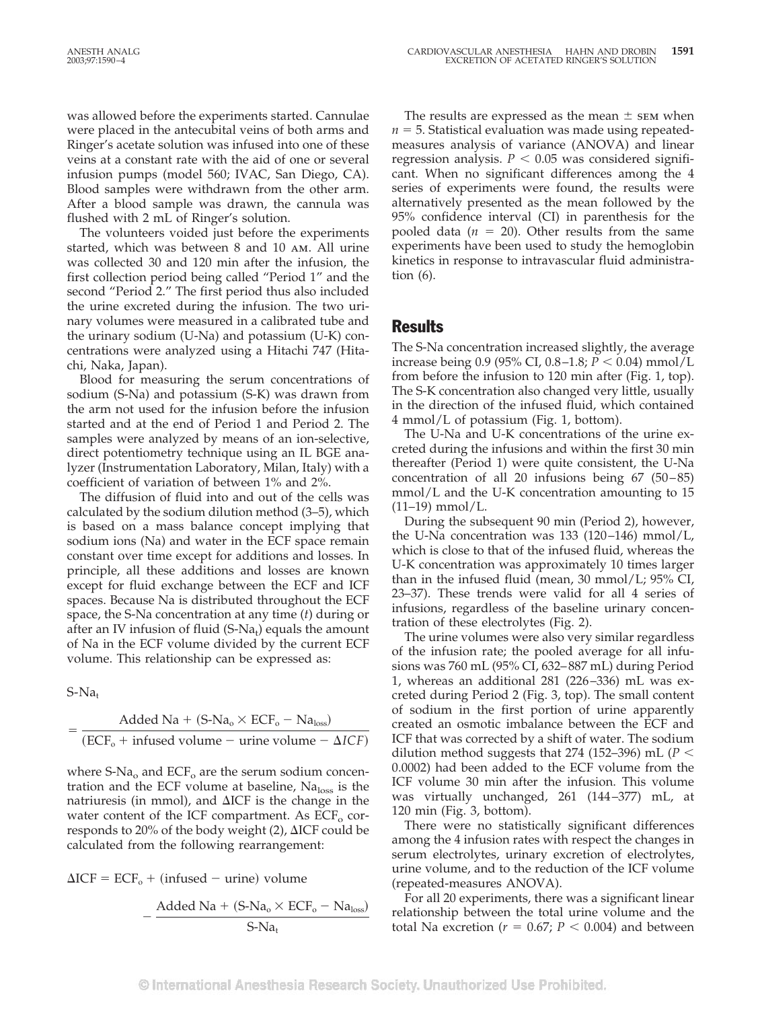was allowed before the experiments started. Cannulae were placed in the antecubital veins of both arms and Ringer's acetate solution was infused into one of these veins at a constant rate with the aid of one or several infusion pumps (model 560; IVAC, San Diego, CA). Blood samples were withdrawn from the other arm. After a blood sample was drawn, the cannula was flushed with 2 mL of Ringer's solution.

The volunteers voided just before the experiments started, which was between 8 and 10 am. All urine was collected 30 and 120 min after the infusion, the first collection period being called "Period 1" and the second "Period 2." The first period thus also included the urine excreted during the infusion. The two urinary volumes were measured in a calibrated tube and the urinary sodium (U-Na) and potassium (U-K) concentrations were analyzed using a Hitachi 747 (Hitachi, Naka, Japan).

Blood for measuring the serum concentrations of sodium (S-Na) and potassium (S-K) was drawn from the arm not used for the infusion before the infusion started and at the end of Period 1 and Period 2. The samples were analyzed by means of an ion-selective, direct potentiometry technique using an IL BGE analyzer (Instrumentation Laboratory, Milan, Italy) with a coefficient of variation of between 1% and 2%.

The diffusion of fluid into and out of the cells was calculated by the sodium dilution method (3–5), which is based on a mass balance concept implying that sodium ions (Na) and water in the ECF space remain constant over time except for additions and losses. In principle, all these additions and losses are known except for fluid exchange between the ECF and ICF spaces. Because Na is distributed throughout the ECF space, the S-Na concentration at any time (*t*) during or after an IV infusion of fluid (S-Na<sub>t</sub>) equals the amount of Na in the ECF volume divided by the current ECF volume. This relationship can be expressed as:

 $S-Na_t$ 

$$
= \frac{\text{Added Na} + (\text{S-Na}_o \times \text{ECF}_o - \text{Na}_{loss})}{(\text{ECF}_o + \text{infused volume} - \text{urine volume} - \Delta \text{ICF})}
$$

where  $S-Na_0$  and  $ECF_0$  are the serum sodium concentration and the ECF volume at baseline,  $Na<sub>loss</sub>$  is the natriuresis (in mmol), and  $\Delta ICF$  is the change in the water content of the ICF compartment. As  $ECF_{o}$  corresponds to 20% of the body weight  $(2)$ ,  $\Delta ICF$  could be calculated from the following rearrangement:

 $\Delta ICF = ECF_0 + (infused - urine) volume$ 

$$
-\frac{A d d e d\, Na + (S\text{-}Na_{o} \times ECF_{o} - Na_{loss})}{S\text{-}Na_{t}}
$$

The results are expressed as the mean  $\pm$  sem when  $n = 5$ . Statistical evaluation was made using repeatedmeasures analysis of variance (ANOVA) and linear regression analysis.  $P < 0.05$  was considered significant. When no significant differences among the 4 series of experiments were found, the results were alternatively presented as the mean followed by the 95% confidence interval (CI) in parenthesis for the pooled data  $(n = 20)$ . Other results from the same experiments have been used to study the hemoglobin kinetics in response to intravascular fluid administration (6).

## **Results**

The S-Na concentration increased slightly, the average increase being 0.9 (95% CI, 0.8–1.8;  $P < 0.04$ ) mmol/L from before the infusion to 120 min after (Fig. 1, top). The S-K concentration also changed very little, usually in the direction of the infused fluid, which contained 4 mmol/L of potassium (Fig. 1, bottom).

The U-Na and U-K concentrations of the urine excreted during the infusions and within the first 30 min thereafter (Period 1) were quite consistent, the U-Na concentration of all 20 infusions being 67 (50–85) mmol/L and the U-K concentration amounting to 15  $(11–19)$  mmol/L.

During the subsequent 90 min (Period 2), however, the U-Na concentration was 133 (120–146) mmol/L, which is close to that of the infused fluid, whereas the U-K concentration was approximately 10 times larger than in the infused fluid (mean, 30 mmol/L; 95% CI, 23–37). These trends were valid for all 4 series of infusions, regardless of the baseline urinary concentration of these electrolytes (Fig. 2).

The urine volumes were also very similar regardless of the infusion rate; the pooled average for all infusions was 760 mL (95% CI, 632–887 mL) during Period 1, whereas an additional 281 (226–336) mL was excreted during Period 2 (Fig. 3, top). The small content of sodium in the first portion of urine apparently created an osmotic imbalance between the ECF and ICF that was corrected by a shift of water. The sodium dilution method suggests that 274 (152–396) mL ( $P <$ 0.0002) had been added to the ECF volume from the ICF volume 30 min after the infusion. This volume was virtually unchanged, 261 (144–377) mL, at 120 min (Fig. 3, bottom).

There were no statistically significant differences among the 4 infusion rates with respect the changes in serum electrolytes, urinary excretion of electrolytes, urine volume, and to the reduction of the ICF volume (repeated-measures ANOVA).

For all 20 experiments, there was a significant linear relationship between the total urine volume and the total Na excretion ( $r = 0.67$ ;  $P < 0.004$ ) and between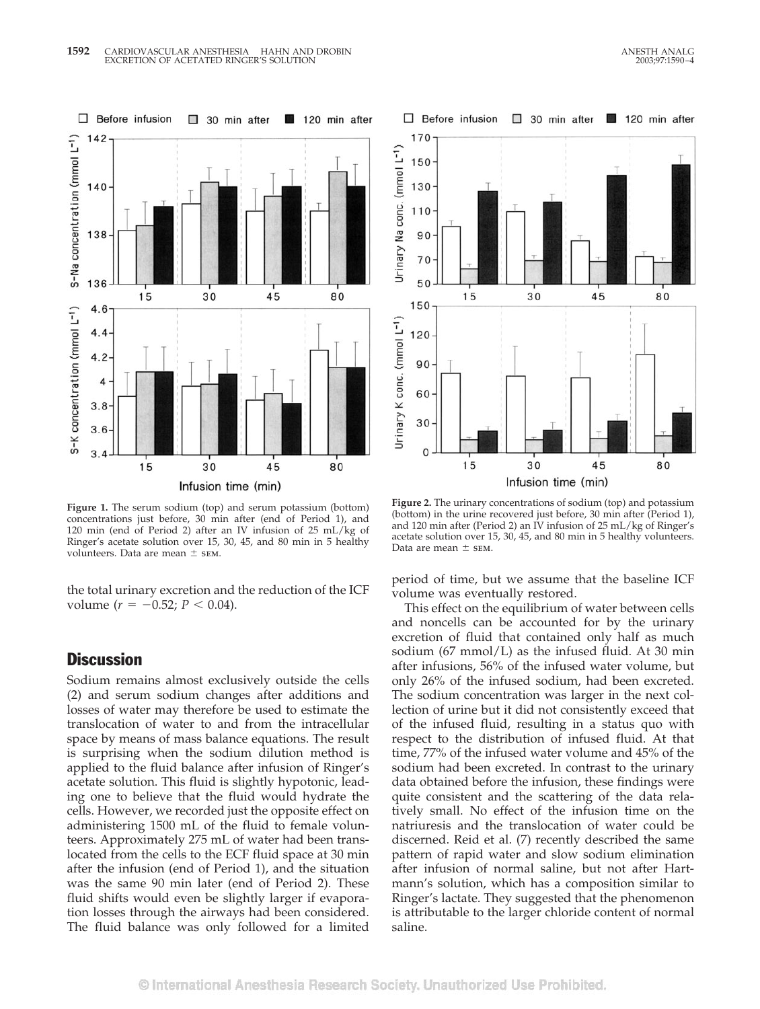

**Figure 1.** The serum sodium (top) and serum potassium (bottom) concentrations just before, 30 min after (end of Period 1), and 120 min (end of Period 2) after an IV infusion of 25 mL/kg of Ringer's acetate solution over 15, 30, 45, and 80 min in 5 healthy volunteers. Data are mean  $\pm$  sEM.

the total urinary excretion and the reduction of the ICF volume ( $r = -0.52$ ;  $P < 0.04$ ).

### **Discussion**

Sodium remains almost exclusively outside the cells (2) and serum sodium changes after additions and losses of water may therefore be used to estimate the translocation of water to and from the intracellular space by means of mass balance equations. The result is surprising when the sodium dilution method is applied to the fluid balance after infusion of Ringer's acetate solution. This fluid is slightly hypotonic, leading one to believe that the fluid would hydrate the cells. However, we recorded just the opposite effect on administering 1500 mL of the fluid to female volunteers. Approximately 275 mL of water had been translocated from the cells to the ECF fluid space at 30 min after the infusion (end of Period 1), and the situation was the same 90 min later (end of Period 2). These fluid shifts would even be slightly larger if evaporation losses through the airways had been considered. The fluid balance was only followed for a limited



**Figure 2.** The urinary concentrations of sodium (top) and potassium (bottom) in the urine recovered just before, 30 min after (Period 1), and 120 min after (Period 2) an IV infusion of 25 mL/kg of Ringer's acetate solution over 15, 30, 45, and 80 min in 5 healthy volunteers. Data are mean  $\pm$  sem.

period of time, but we assume that the baseline ICF volume was eventually restored.

This effect on the equilibrium of water between cells and noncells can be accounted for by the urinary excretion of fluid that contained only half as much sodium (67 mmol/L) as the infused fluid. At 30 min after infusions, 56% of the infused water volume, but only 26% of the infused sodium, had been excreted. The sodium concentration was larger in the next collection of urine but it did not consistently exceed that of the infused fluid, resulting in a status quo with respect to the distribution of infused fluid. At that time, 77% of the infused water volume and 45% of the sodium had been excreted. In contrast to the urinary data obtained before the infusion, these findings were quite consistent and the scattering of the data relatively small. No effect of the infusion time on the natriuresis and the translocation of water could be discerned. Reid et al. (7) recently described the same pattern of rapid water and slow sodium elimination after infusion of normal saline, but not after Hartmann's solution, which has a composition similar to Ringer's lactate. They suggested that the phenomenon is attributable to the larger chloride content of normal saline.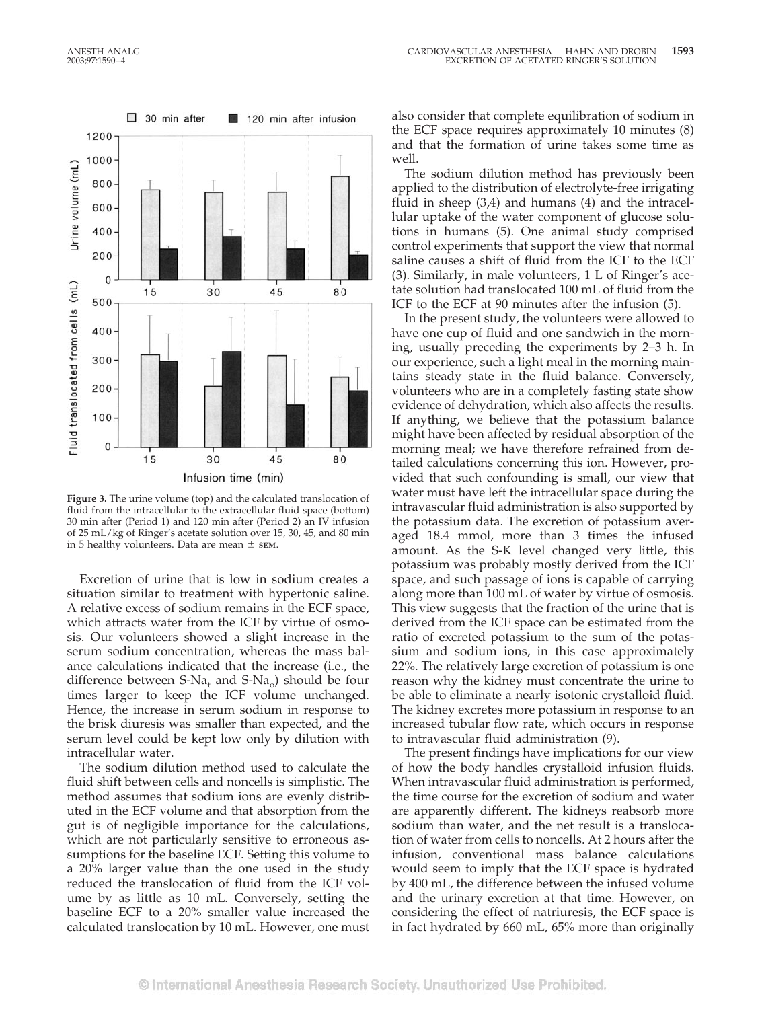

**Figure 3.** The urine volume (top) and the calculated translocation of fluid from the intracellular to the extracellular fluid space (bottom) 30 min after (Period 1) and 120 min after (Period 2) an IV infusion of 25 mL/kg of Ringer's acetate solution over 15, 30, 45, and 80 min in 5 healthy volunteers. Data are mean  $\pm$  sem.

Excretion of urine that is low in sodium creates a situation similar to treatment with hypertonic saline. A relative excess of sodium remains in the ECF space, which attracts water from the ICF by virtue of osmosis. Our volunteers showed a slight increase in the serum sodium concentration, whereas the mass balance calculations indicated that the increase (i.e., the difference between S-Na<sub>t</sub> and S-Na<sub>o</sub>) should be four times larger to keep the ICF volume unchanged. Hence, the increase in serum sodium in response to the brisk diuresis was smaller than expected, and the serum level could be kept low only by dilution with intracellular water.

The sodium dilution method used to calculate the fluid shift between cells and noncells is simplistic. The method assumes that sodium ions are evenly distributed in the ECF volume and that absorption from the gut is of negligible importance for the calculations, which are not particularly sensitive to erroneous assumptions for the baseline ECF. Setting this volume to a 20% larger value than the one used in the study reduced the translocation of fluid from the ICF volume by as little as 10 mL. Conversely, setting the baseline ECF to a 20% smaller value increased the calculated translocation by 10 mL. However, one must also consider that complete equilibration of sodium in the ECF space requires approximately 10 minutes (8) and that the formation of urine takes some time as well.

The sodium dilution method has previously been applied to the distribution of electrolyte-free irrigating fluid in sheep (3,4) and humans (4) and the intracellular uptake of the water component of glucose solutions in humans (5). One animal study comprised control experiments that support the view that normal saline causes a shift of fluid from the ICF to the ECF (3). Similarly, in male volunteers, 1 L of Ringer's acetate solution had translocated 100 mL of fluid from the ICF to the ECF at 90 minutes after the infusion (5).

In the present study, the volunteers were allowed to have one cup of fluid and one sandwich in the morning, usually preceding the experiments by 2–3 h. In our experience, such a light meal in the morning maintains steady state in the fluid balance. Conversely, volunteers who are in a completely fasting state show evidence of dehydration, which also affects the results. If anything, we believe that the potassium balance might have been affected by residual absorption of the morning meal; we have therefore refrained from detailed calculations concerning this ion. However, provided that such confounding is small, our view that water must have left the intracellular space during the intravascular fluid administration is also supported by the potassium data. The excretion of potassium averaged 18.4 mmol, more than 3 times the infused amount. As the S-K level changed very little, this potassium was probably mostly derived from the ICF space, and such passage of ions is capable of carrying along more than 100 mL of water by virtue of osmosis. This view suggests that the fraction of the urine that is derived from the ICF space can be estimated from the ratio of excreted potassium to the sum of the potassium and sodium ions, in this case approximately 22%. The relatively large excretion of potassium is one reason why the kidney must concentrate the urine to be able to eliminate a nearly isotonic crystalloid fluid. The kidney excretes more potassium in response to an increased tubular flow rate, which occurs in response to intravascular fluid administration (9).

The present findings have implications for our view of how the body handles crystalloid infusion fluids. When intravascular fluid administration is performed, the time course for the excretion of sodium and water are apparently different. The kidneys reabsorb more sodium than water, and the net result is a translocation of water from cells to noncells. At 2 hours after the infusion, conventional mass balance calculations would seem to imply that the ECF space is hydrated by 400 mL, the difference between the infused volume and the urinary excretion at that time. However, on considering the effect of natriuresis, the ECF space is in fact hydrated by 660 mL, 65% more than originally